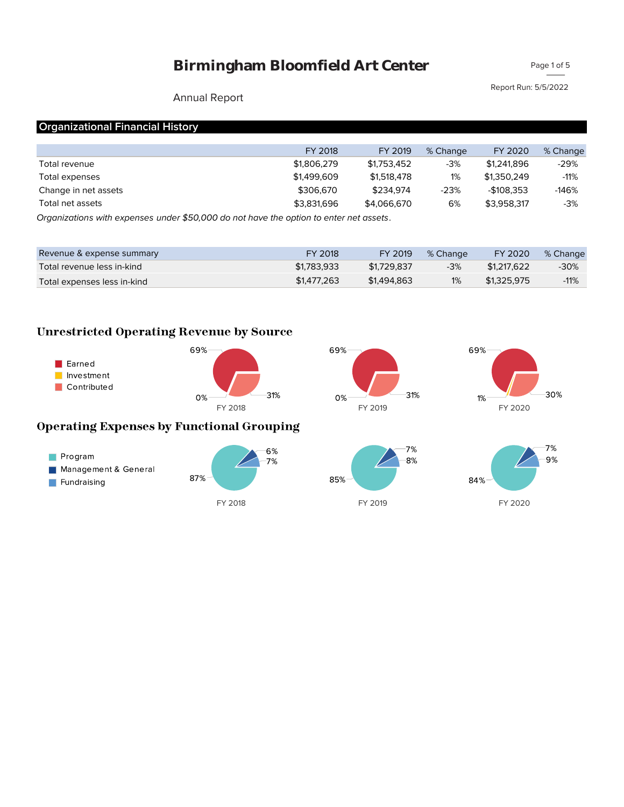Page 1 of 5

Report Run: 5/5/2022

### Annual Report

# **Organizational Financial History**

|                                                                                                   | FY 2018     | FY 2019     | % Change | FY 2020     | % Change |
|---------------------------------------------------------------------------------------------------|-------------|-------------|----------|-------------|----------|
| Total revenue                                                                                     | \$1,806,279 | \$1,753,452 | -3%      | \$1,241,896 | $-29%$   |
| Total expenses                                                                                    | \$1,499,609 | \$1,518,478 | 1%       | \$1.350.249 | $-11%$   |
| Change in net assets                                                                              | \$306,670   | \$234.974   | $-23%$   | -\$108.353  | $-146%$  |
| Total net assets                                                                                  | \$3,831,696 | \$4.066.670 | 6%       | \$3.958.317 | $-3%$    |
| $O$ rganizations with expenses under $E_{D}\Omega_{D}$ de not have the entian to enter not assets |             |             |          |             |          |

*Organizations with expenses under \$50,000 do not have the option to enter net assets.*

| Revenue & expense summary   | FY 2018     | FY 2019     | % Change | FY 2020     | % Change |
|-----------------------------|-------------|-------------|----------|-------------|----------|
| Total revenue less in-kind  | \$1,783,933 | \$1,729,837 | $-3%$    | \$1,217,622 | -30%     |
| Total expenses less in-kind | \$1,477,263 | \$1,494,863 | 1%       | \$1.325.975 | $-11%$   |

# **Unrestricted Operating Revenue by Source**

| Earned<br>Investment<br>Contributed | 69%                                              | 69%                  | 69%           |
|-------------------------------------|--------------------------------------------------|----------------------|---------------|
|                                     | 31%<br>0%<br>FY 2018                             | 31%<br>0%<br>FY 2019 | 1%<br>FY 2020 |
|                                     | <b>Operating Expenses by Functional Grouping</b> |                      |               |
| Program                             | 6%<br>7%                                         | 7%<br>8%             |               |







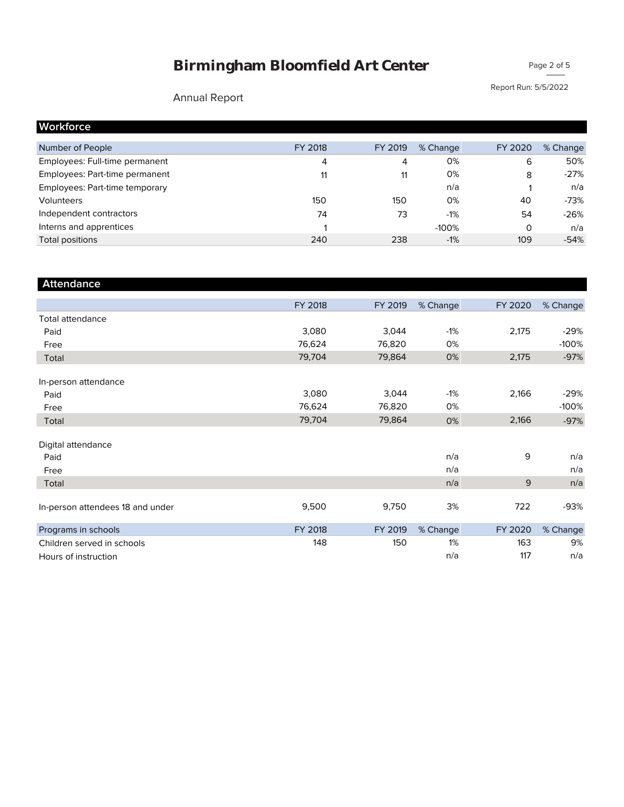Page 2 of 5

# Annual Report

Report Run: 5/5/2022

| Workforce                      |         |         |          |         |          |
|--------------------------------|---------|---------|----------|---------|----------|
| Number of People               | FY 2018 | FY 2019 | % Change | FY 2020 | % Change |
| Employees: Full-time permanent | 4       | 4       | 0%       | 6       | 50%      |
| Employees: Part-time permanent | 11      | 11      | 0%       | 8       | $-27%$   |
| Employees: Part-time temporary |         |         | n/a      |         | n/a      |
| Volunteers                     | 150     | 150     | 0%       | 40      | $-73%$   |
| Independent contractors        | 74      | 73      | $-1%$    | 54      | $-26%$   |
| Interns and apprentices        |         |         | $-100%$  | 0       | n/a      |
| Total positions                | 240     | 238     | $-1%$    | 109     | $-54%$   |

| <b>Attendance</b>                |         |         |          |         |          |
|----------------------------------|---------|---------|----------|---------|----------|
|                                  | FY 2018 | FY 2019 | % Change | FY 2020 | % Change |
| <b>Total attendance</b>          |         |         |          |         |          |
| Paid                             | 3,080   | 3,044   | $-1%$    | 2,175   | $-29%$   |
| Free                             | 76,624  | 76,820  | 0%       |         | $-100%$  |
| Total                            | 79,704  | 79,864  | 0%       | 2,175   | $-97%$   |
| In-person attendance             |         |         |          |         |          |
| Paid                             | 3,080   | 3,044   | $-1%$    | 2,166   | $-29%$   |
| Free                             | 76,624  | 76,820  | 0%       |         | $-100%$  |
| Total                            | 79,704  | 79,864  | 0%       | 2,166   | $-97%$   |
| Digital attendance               |         |         |          |         |          |
| Paid                             |         |         | n/a      | 9       | n/a      |
| Free                             |         |         | n/a      |         | n/a      |
| Total                            |         |         | n/a      | 9       | n/a      |
| In-person attendees 18 and under | 9,500   | 9,750   | 3%       | 722     | $-93%$   |
| Programs in schools              | FY 2018 | FY 2019 | % Change | FY 2020 | % Change |
| Children served in schools       | 148     | 150     | 1%       | 163     | 9%       |
| Hours of instruction             |         |         | n/a      | 117     | n/a      |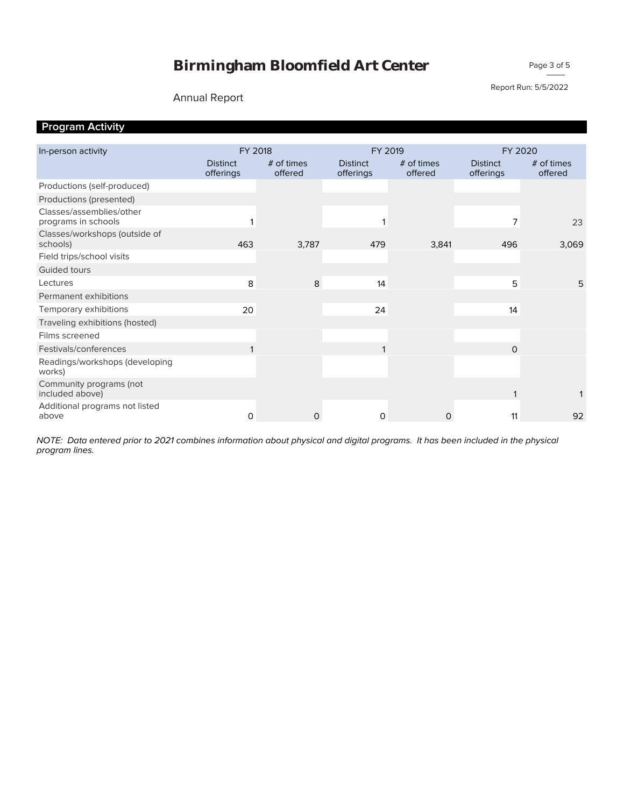#### Annual Report

Report Run: 5/5/2022

Page 3 of 5

# **Program Activity**

| In-person activity                              | FY 2018                      |                         | FY 2019                      |                         | FY 2020                      |                         |  |
|-------------------------------------------------|------------------------------|-------------------------|------------------------------|-------------------------|------------------------------|-------------------------|--|
|                                                 | <b>Distinct</b><br>offerings | $#$ of times<br>offered | <b>Distinct</b><br>offerings | $#$ of times<br>offered | <b>Distinct</b><br>offerings | $#$ of times<br>offered |  |
| Productions (self-produced)                     |                              |                         |                              |                         |                              |                         |  |
| Productions (presented)                         |                              |                         |                              |                         |                              |                         |  |
| Classes/assemblies/other<br>programs in schools |                              |                         |                              |                         | 7                            | 23                      |  |
| Classes/workshops (outside of<br>schools)       | 463                          | 3,787                   | 479                          | 3,841                   | 496                          | 3,069                   |  |
| Field trips/school visits                       |                              |                         |                              |                         |                              |                         |  |
| Guided tours                                    |                              |                         |                              |                         |                              |                         |  |
| Lectures                                        | 8                            | 8                       | 14                           |                         | 5                            | 5                       |  |
| Permanent exhibitions                           |                              |                         |                              |                         |                              |                         |  |
| Temporary exhibitions                           | 20                           |                         | 24                           |                         | 14                           |                         |  |
| Traveling exhibitions (hosted)                  |                              |                         |                              |                         |                              |                         |  |
| Films screened                                  |                              |                         |                              |                         |                              |                         |  |
| Festivals/conferences                           |                              |                         |                              |                         | 0                            |                         |  |
| Readings/workshops (developing<br>works)        |                              |                         |                              |                         |                              |                         |  |
| Community programs (not<br>included above)      |                              |                         |                              |                         |                              |                         |  |
| Additional programs not listed<br>above         | 0                            | $\mathsf{O}$            | 0                            | $\mathsf{O}$            | 11                           | 92                      |  |
|                                                 |                              |                         |                              |                         |                              |                         |  |

*program lines. NOTE: Data entered prior to 2021 combines information about physical and digital programs. It has been included in the physical*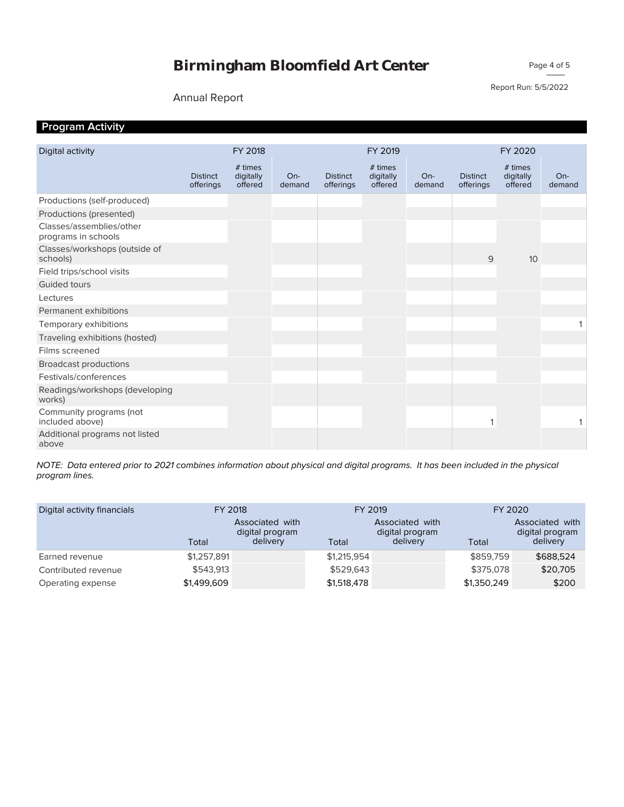Page 4 of 5

#### Annual Report

Report Run: 5/5/2022

# **Program Activity**

| Digital activity                                |                              | FY 2018                         |                 |                              | FY 2019                         |                 |                              | FY 2020                         |                 |
|-------------------------------------------------|------------------------------|---------------------------------|-----------------|------------------------------|---------------------------------|-----------------|------------------------------|---------------------------------|-----------------|
|                                                 | <b>Distinct</b><br>offerings | # times<br>digitally<br>offered | $On-$<br>demand | <b>Distinct</b><br>offerings | # times<br>digitally<br>offered | $On-$<br>demand | <b>Distinct</b><br>offerings | # times<br>digitally<br>offered | $On-$<br>demand |
| Productions (self-produced)                     |                              |                                 |                 |                              |                                 |                 |                              |                                 |                 |
| Productions (presented)                         |                              |                                 |                 |                              |                                 |                 |                              |                                 |                 |
| Classes/assemblies/other<br>programs in schools |                              |                                 |                 |                              |                                 |                 |                              |                                 |                 |
| Classes/workshops (outside of<br>schools)       |                              |                                 |                 |                              |                                 |                 | 9                            | 10                              |                 |
| Field trips/school visits                       |                              |                                 |                 |                              |                                 |                 |                              |                                 |                 |
| Guided tours                                    |                              |                                 |                 |                              |                                 |                 |                              |                                 |                 |
| Lectures                                        |                              |                                 |                 |                              |                                 |                 |                              |                                 |                 |
| Permanent exhibitions                           |                              |                                 |                 |                              |                                 |                 |                              |                                 |                 |
| Temporary exhibitions                           |                              |                                 |                 |                              |                                 |                 |                              |                                 |                 |
| Traveling exhibitions (hosted)                  |                              |                                 |                 |                              |                                 |                 |                              |                                 |                 |
| Films screened                                  |                              |                                 |                 |                              |                                 |                 |                              |                                 |                 |
| <b>Broadcast productions</b>                    |                              |                                 |                 |                              |                                 |                 |                              |                                 |                 |
| Festivals/conferences                           |                              |                                 |                 |                              |                                 |                 |                              |                                 |                 |
| Readings/workshops (developing<br>works)        |                              |                                 |                 |                              |                                 |                 |                              |                                 |                 |
| Community programs (not<br>included above)      |                              |                                 |                 |                              |                                 |                 |                              |                                 |                 |
| Additional programs not listed<br>above         |                              |                                 |                 |                              |                                 |                 |                              |                                 |                 |

*program lines. NOTE: Data entered prior to 2021 combines information about physical and digital programs. It has been included in the physical* 

| Digital activity financials |             | FY 2018                                        |             | FY 2019                                        | FY 2020     |                                                |  |
|-----------------------------|-------------|------------------------------------------------|-------------|------------------------------------------------|-------------|------------------------------------------------|--|
|                             | Total       | Associated with<br>digital program<br>delivery | Total       | Associated with<br>digital program<br>delivery | Total       | Associated with<br>digital program<br>delivery |  |
| Earned revenue              | \$1,257,891 |                                                | \$1,215,954 |                                                | \$859,759   | \$688,524                                      |  |
| Contributed revenue         | \$543,913   |                                                | \$529,643   |                                                | \$375,078   | \$20,705                                       |  |
| Operating expense           | \$1,499,609 |                                                | \$1,518,478 |                                                | \$1,350,249 | \$200                                          |  |